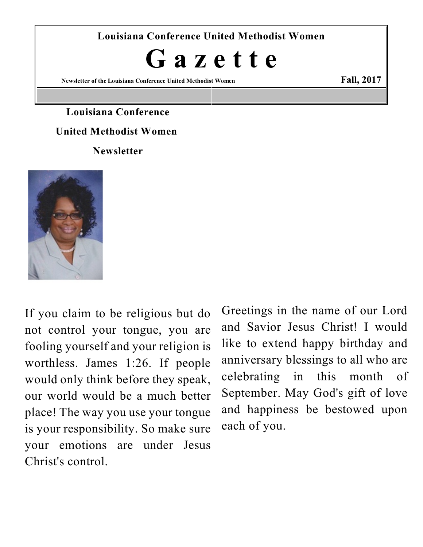**Louisiana Conference United Methodist Women**

# **G a z e t t e**

**Newsletter of the Louisiana Conference United Methodist Women Fall, 2017**

### **Louisiana Conference**

#### **United Methodist Women**

**Newsletter**



If you claim to be religious but do not control your tongue, you are fooling yourself and your religion is worthless. James 1:26. If people would only think before they speak, our world would be a much better place! The way you use your tongue is your responsibility. So make sure your emotions are under Jesus Christ's control.

Greetings in the name of our Lord and Savior Jesus Christ! I would like to extend happy birthday and anniversary blessings to all who are celebrating in this month of September. May God's gift of love and happiness be bestowed upon each of you.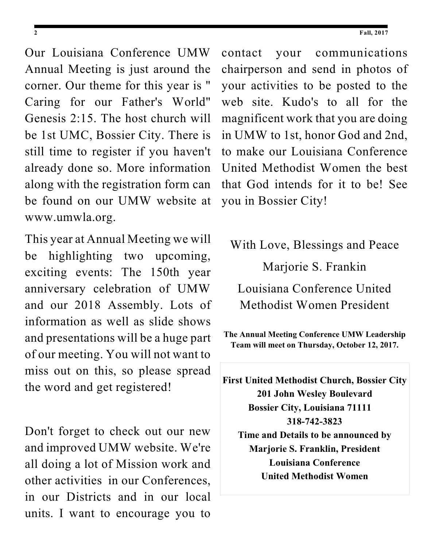Our Louisiana Conference UMW Annual Meeting is just around the corner. Our theme for this year is " Caring for our Father's World" Genesis 2:15. The host church will be 1st UMC, Bossier City. There is still time to register if you haven't already done so. More information along with the registration form can be found on our UMW website at www.umwla.org.

This year at Annual Meeting we will be highlighting two upcoming, exciting events: The 150th year anniversary celebration of UMW and our 2018 Assembly. Lots of information as well as slide shows and presentations will be a huge part of our meeting. You will not want to miss out on this, so please spread the word and get registered!

Don't forget to check out our new and improved UMW website. We're all doing a lot of Mission work and other activities in our Conferences, in our Districts and in our local units. I want to encourage you to

contact your communications chairperson and send in photos of your activities to be posted to the web site. Kudo's to all for the magnificent work that you are doing in UMW to 1st, honor God and 2nd, to make our Louisiana Conference United Methodist Women the best that God intends for it to be! See you in Bossier City!

With Love, Blessings and Peace

Marjorie S. Frankin

Louisiana Conference United Methodist Women President

**The Annual Meeting Conference UMW Leadership Team will meet on Thursday, October 12, 2017.**

**First United Methodist Church, Bossier City 201 John Wesley Boulevard Bossier City, Louisiana 71111 318-742-3823 Time and Details to be announced by Marjorie S. Franklin, President Louisiana Conference United Methodist Women**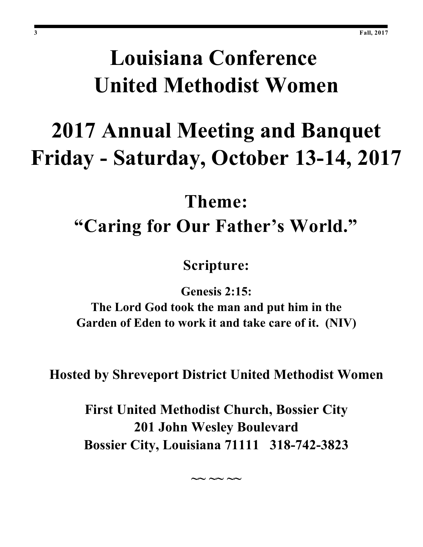# **Louisiana Conference United Methodist Women**

# **2017 Annual Meeting and Banquet Friday - Saturday, October 13-14, 2017**

# **Theme: "Caring for Our Father's World."**

**Scripture:**

**Genesis 2:15:**

**The Lord God took the man and put him in the Garden of Eden to work it and take care of it. (NIV)**

**Hosted by Shreveport District United Methodist Women**

**First United Methodist Church, Bossier City 201 John Wesley Boulevard Bossier City, Louisiana 71111 318-742-3823**

**~~ ~~ ~~**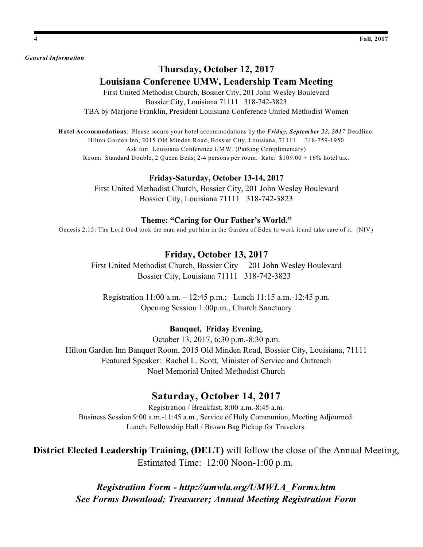*General Information*

#### **Thursday, October 12, 2017 Louisiana Conference UMW, Leadership Team Meeting**

First United Methodist Church, Bossier City, 201 John Wesley Boulevard Bossier City, Louisiana 71111 318-742-3823 TBA by Marjorie Franklin, President Louisiana Conference United Methodist Women

**Hotel Accommodations**: Please secure your hotel accommodations by the *Friday, September 22, 2017* Deadline. Hilton Garden Inn, 2015 Old Minden Road, Bossier City, Louisiana, 71111 318-759-1950 Ask for: Louisiana Conference UMW. (Parking Complimentary) Room: Standard Double, 2 Queen Beds; 2-4 persons per room. Rate: \$109.00 + 16% hotel tax.

#### **Friday-Saturday, October 13-14, 2017**

First United Methodist Church, Bossier City, 201 John Wesley Boulevard Bossier City, Louisiana 71111 318-742-3823

#### **Theme: "Caring for Our Father's World."**

Genesis 2:15: The Lord God took the man and put him in the Garden of Eden to work it and take care of it. (NIV)

#### **Friday, October 13, 2017**

First United Methodist Church, Bossier City 201 John Wesley Boulevard Bossier City, Louisiana 71111 318-742-3823

Registration 11:00 a.m. – 12:45 p.m.; Lunch 11:15 a.m.-12:45 p.m. Opening Session 1:00p.m., Church Sanctuary

#### **Banquet, Friday Evening**,

October 13, 2017, 6:30 p.m.-8:30 p.m. Hilton Garden Inn Banquet Room, 2015 Old Minden Road, Bossier City, Louisiana, 71111 Featured Speaker: Rachel L. Scott, Minister of Service and Outreach Noel Memorial United Methodist Church

#### **Saturday, October 14, 2017**

Registration / Breakfast, 8:00 a.m.-8:45 a.m. Business Session 9:00 a.m.-11:45 a.m., Service of Holy Communion, Meeting Adjourned. Lunch, Fellowship Hall / Brown Bag Pickup for Travelers.

**District Elected Leadership Training, (DELT)** will follow the close of the Annual Meeting, Estimated Time: 12:00 Noon-1:00 p.m.

> *Registration Form - http://umwla.org/UMWLA\_Forms.htm See Forms Download; Treasurer; Annual Meeting Registration Form*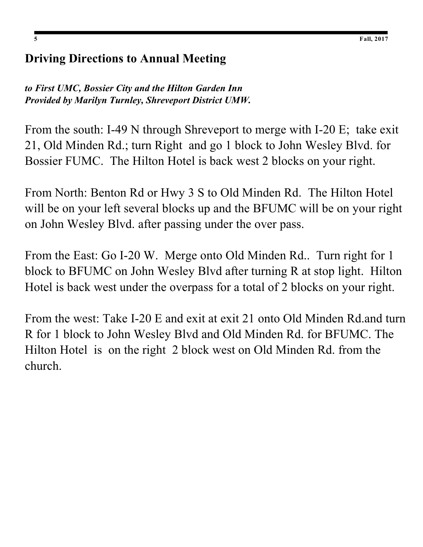### **Driving Directions to Annual Meeting**

*to First UMC, Bossier City and the Hilton Garden Inn Provided by Marilyn Turnley, Shreveport District UMW.*

From the south: I-49 N through Shreveport to merge with I-20 E; take exit 21, Old Minden Rd.; turn Right and go 1 block to John Wesley Blvd. for Bossier FUMC. The Hilton Hotel is back west 2 blocks on your right.

From North: Benton Rd or Hwy 3 S to Old Minden Rd. The Hilton Hotel will be on your left several blocks up and the BFUMC will be on your right on John Wesley Blvd. after passing under the over pass.

From the East: Go I-20 W. Merge onto Old Minden Rd.. Turn right for 1 block to BFUMC on John Wesley Blvd after turning R at stop light. Hilton Hotel is back west under the overpass for a total of 2 blocks on your right.

From the west: Take I-20 E and exit at exit 21 onto Old Minden Rd.and turn R for 1 block to John Wesley Blvd and Old Minden Rd. for BFUMC. The Hilton Hotel is on the right 2 block west on Old Minden Rd. from the church.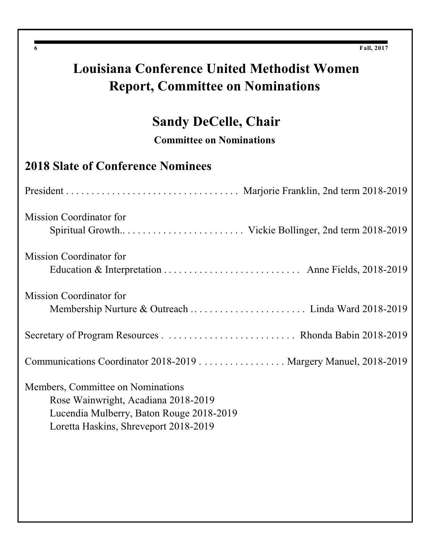# **Louisiana Conference United Methodist Women Report, Committee on Nominations**

# **Sandy DeCelle, Chair**

**Committee on Nominations**

### **2018 Slate of Conference Nominees**

| <b>Mission Coordinator for</b>                                                                                                                                |
|---------------------------------------------------------------------------------------------------------------------------------------------------------------|
| <b>Mission Coordinator for</b>                                                                                                                                |
| <b>Mission Coordinator for</b>                                                                                                                                |
|                                                                                                                                                               |
| Communications Coordinator 2018-2019 Margery Manuel, 2018-2019                                                                                                |
| Members, Committee on Nominations<br>Rose Wainwright, Acadiana 2018-2019<br>Lucendia Mulberry, Baton Rouge 2018-2019<br>Loretta Haskins, Shreveport 2018-2019 |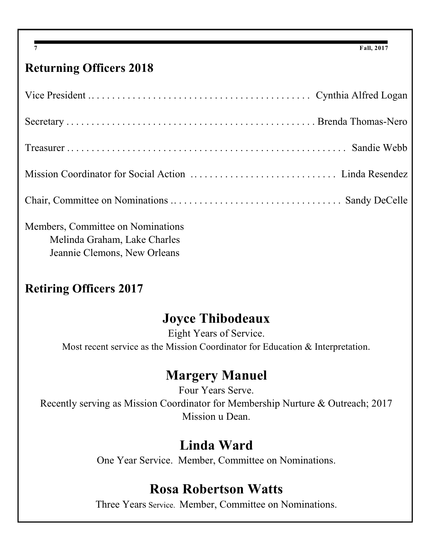## **Returning Officers 2018**

Members, Committee on Nominations Melinda Graham, Lake Charles Jeannie Clemons, New Orleans

## **Retiring Officers 2017**

# **Joyce Thibodeaux**

Eight Years of Service. Most recent service as the Mission Coordinator for Education & Interpretation.

# **Margery Manuel**

Four Years Serve. Recently serving as Mission Coordinator for Membership Nurture & Outreach; 2017 Mission u Dean.

# **Linda Ward**

One Year Service. Member, Committee on Nominations.

## **Rosa Robertson Watts**

Three Years Service. Member, Committee on Nominations.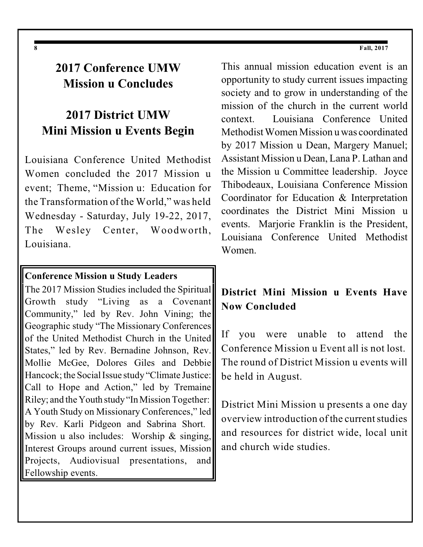### **2017 Conference UMW Mission u Concludes**

### **2017 District UMW Mini Mission u Events Begin**

Louisiana Conference United Methodist Women concluded the 2017 Mission u event; Theme, "Mission u: Education for the Transformation of the World," was held Wednesday - Saturday, July 19-22, 2017, The Wesley Center, Woodworth, Louisiana.

#### **Conference Mission u Study Leaders**

The 2017 Mission Studies included the Spiritual Growth study "Living as a Covenant Community," led by Rev. John Vining; the Geographic study "The Missionary Conferences of the United Methodist Church in the United States," led by Rev. Bernadine Johnson, Rev. Mollie McGee, Dolores Giles and Debbie Hancock; the Social Issue study "Climate Justice: Call to Hope and Action," led by Tremaine Riley; and the Youth study"InMission Together: A Youth Study on Missionary Conferences," led by Rev. Karli Pidgeon and Sabrina Short. Mission u also includes: Worship & singing, Interest Groups around current issues, Mission Projects, Audiovisual presentations, and Fellowship events.

This annual mission education event is an opportunity to study current issues impacting society and to grow in understanding of the mission of the church in the current world context. Louisiana Conference United MethodistWomen Mission u was coordinated by 2017 Mission u Dean, Margery Manuel; Assistant Mission u Dean, Lana P. Lathan and the Mission u Committee leadership. Joyce Thibodeaux, Louisiana Conference Mission Coordinator for Education & Interpretation coordinates the District Mini Mission u events. Marjorie Franklin is the President, Louisiana Conference United Methodist Women.

### **District Mini Mission u Events Have Now Concluded**

If you were unable to attend the Conference Mission u Event all is not lost. The round of District Mission u events will be held in August.

District Mini Mission u presents a one day overview introduction of the currentstudies and resources for district wide, local unit and church wide studies.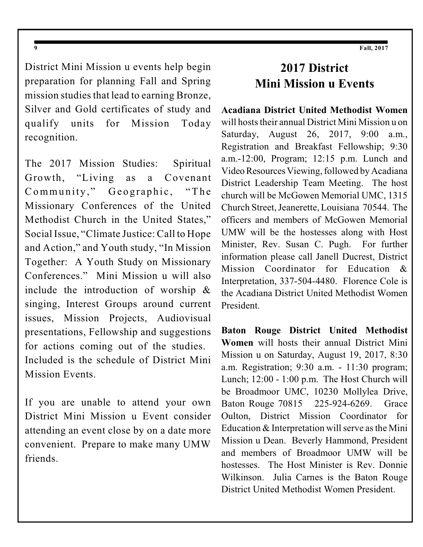District Mini Mission u events help begin preparation for planning Fall and Spring mission studies that lead to earning Bronze, Silver and Gold certificates of study and qualify units for Mission Today recognition.

The 2017 Mission Studies: Spiritual Growth, "Living as a Covenant Community," Geographic, "The Missionary Conferences of the United Methodist Church in the United States," Social Issue, "Climate Justice: Call to Hope and Action," and Youth study, "In Mission Together: A Youth Study on Missionary Conferences." Mini Mission u will also include the introduction of worship & singing, Interest Groups around current issues, Mission Projects, Audiovisual presentations, Fellowship and suggestions for actions coming out of the studies. Included is the schedule of District Mini Mission Events.

If you are unable to attend your own District Mini Mission u Event consider attending an event close by on a date more convenient. Prepare to make many UMW friends.

### **2017 District Mini Mission u Events**

**Acadiana District United Methodist Women** will hosts their annual District Mini Mission u on Saturday, August 26, 2017, 9:00 a.m., Registration and Breakfast Fellowship; 9:30 a.m.-12:00, Program; 12:15 p.m. Lunch and Video Resources Viewing, followed by Acadiana District Leadership Team Meeting. The host church will be McGowen Memorial UMC, 1315 Church Street, Jeanerette, Louisiana 70544. The officers and members of McGowen Memorial UMW will be the hostesses along with Host Minister, Rev. Susan C. Pugh. For further information please call Janell Ducrest, District Mission Coordinator for Education & Interpretation, 337-504-4480. Florence Cole is the Acadiana District United Methodist Women President.

**Baton Rouge District United Methodist Women** will hosts their annual District Mini Mission u on Saturday, August 19, 2017, 8:30 a.m. Registration; 9:30 a.m. - 11:30 program; Lunch; 12:00 - 1:00 p.m. The Host Church will be Broadmoor UMC, 10230 Mollylea Drive, Baton Rouge 70815 225-924-6269. Grace Oulton, District Mission Coordinator for Education  $&$  Interpretation will serve as the Mini Mission u Dean. Beverly Hammond, President and members of Broadmoor UMW will be hostesses. The Host Minister is Rev. Donnie Wilkinson. Julia Carnes is the Baton Rouge District United Methodist Women President.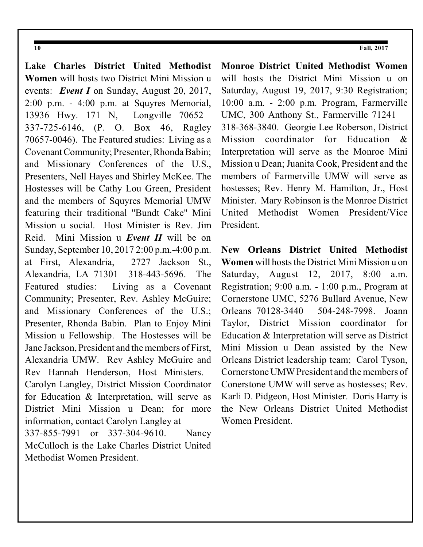**Lake Charles District United Methodist Women** will hosts two District Mini Mission u events: *Event I* on Sunday, August 20, 2017, 2:00 p.m. - 4:00 p.m. at Squyres Memorial, 13936 Hwy. 171 N, Longville 70652 337-725-6146, (P. O. Box 46, Ragley 70657-0046). The Featured studies: Living as a Covenant Community; Presenter, Rhonda Babin; and Missionary Conferences of the U.S., Presenters, Nell Hayes and Shirley McKee. The Hostesses will be Cathy Lou Green, President and the members of Squyres Memorial UMW featuring their traditional "Bundt Cake" Mini Mission u social. Host Minister is Rev. Jim Reid. Mini Mission u *Event II* will be on Sunday, September 10, 2017 2:00 p.m.-4:00 p.m. at First, Alexandria, 2727 Jackson St., Alexandria, LA 71301 318-443-5696. The Featured studies: Living as a Covenant Community; Presenter, Rev. Ashley McGuire; and Missionary Conferences of the U.S.; Presenter, Rhonda Babin. Plan to Enjoy Mini Mission u Fellowship. The Hostesses will be Jane Jackson, President and the members of First, Alexandria UMW. Rev Ashley McGuire and Rev Hannah Henderson, Host Ministers. Carolyn Langley, District Mission Coordinator for Education & Interpretation, will serve as District Mini Mission u Dean; for more information, contact Carolyn Langley at 337-855-7991 or 337-304-9610. Nancy McCulloch is the Lake Charles District United Methodist Women President.

**Monroe District United Methodist Women** will hosts the District Mini Mission u on Saturday, August 19, 2017, 9:30 Registration; 10:00 a.m. - 2:00 p.m. Program, Farmerville UMC, 300 Anthony St., Farmerville 71241 318-368-3840. Georgie Lee Roberson, District Mission coordinator for Education & Interpretation will serve as the Monroe Mini Mission u Dean; Juanita Cook, President and the members of Farmerville UMW will serve as hostesses; Rev. Henry M. Hamilton, Jr., Host Minister. Mary Robinson is the Monroe District United Methodist Women President/Vice President.

**New Orleans District United Methodist Women** will hosts the District Mini Mission u on Saturday, August 12, 2017, 8:00 a.m. Registration; 9:00 a.m. - 1:00 p.m., Program at Cornerstone UMC, 5276 Bullard Avenue, New Orleans 70128-3440 504-248-7998. Joann Taylor, District Mission coordinator for Education & Interpretation will serve as District Mini Mission u Dean assisted by the New Orleans District leadership team; Carol Tyson, Cornerstone UMW President and the members of Conerstone UMW will serve as hostesses; Rev. Karli D. Pidgeon, Host Minister. Doris Harry is the New Orleans District United Methodist Women President.

#### **10 Fall, 2017**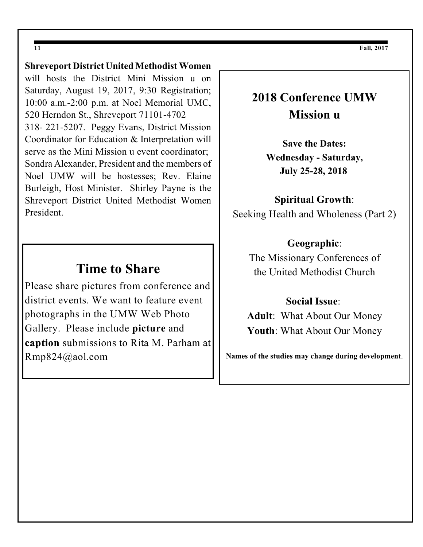### **Shreveport District United Methodist Women**

will hosts the District Mini Mission u on Saturday, August 19, 2017, 9:30 Registration; 10:00 a.m.-2:00 p.m. at Noel Memorial UMC, 520 Herndon St., Shreveport 71101-4702 318- 221-5207. Peggy Evans, District Mission Coordinator for Education & Interpretation will serve as the Mini Mission u event coordinator; Sondra Alexander, President and the members of Noel UMW will be hostesses; Rev. Elaine Burleigh, Host Minister. Shirley Payne is the Shreveport District United Methodist Women President.

### **Time to Share**

Please share pictures from conference and district events. We want to feature event photographs in the UMW Web Photo Gallery. Please include **picture** and **caption** submissions to Rita M. Parham at Rmp824@aol.com

## **2018 Conference UMW Mission u**

**Save the Dates: Wednesday - Saturday, July 25-28, 2018**

#### **Spiritual Growth**:

Seeking Health and Wholeness (Part 2)

#### **Geographic**:

The Missionary Conferences of the United Methodist Church

#### **Social Issue**:

**Adult**: What About Our Money **Youth**: What About Our Money

**Names of the studies may change during development**.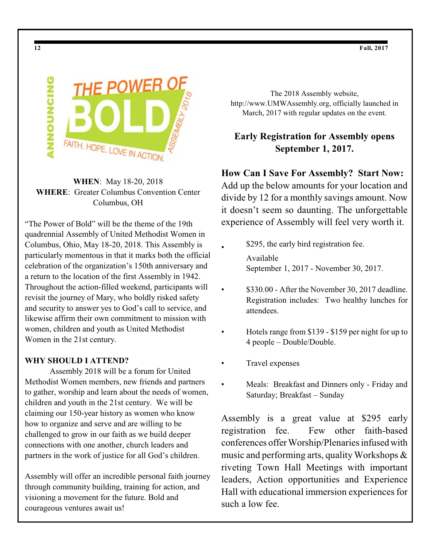

**WHEN**: May 18-20, 2018 **WHERE**: Greater Columbus Convention Center Columbus, OH

"The Power of Bold" will be the theme of the 19th quadrennial Assembly of United Methodist Women in Columbus, Ohio, May 18-20, 2018. This Assembly is particularly momentous in that it marks both the official celebration of the organization's 150th anniversary and a return to the location of the first Assembly in 1942. Throughout the action-filled weekend, participants will revisit the journey of Mary, who boldly risked safety and security to answer yes to God's call to service, and likewise affirm their own commitment to mission with women, children and youth as United Methodist Women in the 21st century.

#### **WHY SHOULD I ATTEND?**

Assembly 2018 will be a forum for United Methodist Women members, new friends and partners to gather, worship and learn about the needs of women, children and youth in the 21st century. We will be claiming our 150-year history as women who know how to organize and serve and are willing to be challenged to grow in our faith as we build deeper connections with one another, church leaders and partners in the work of justice for all God's children.

Assembly will offer an incredible personal faith journey through community building, training for action, and visioning a movement for the future. Bold and courageous ventures await us!

The 2018 Assembly website, http://www.UMWAssembly.org, officially launched in March, 2017 with regular updates on the event.

### **Early Registration for Assembly opens September 1, 2017.**

**How Can I Save For Assembly? Start Now:**

Add up the below amounts for your location and divide by 12 for a monthly savings amount. Now it doesn't seem so daunting. The unforgettable experience of Assembly will feel very worth it.

- \$295, the early bird registration fee. Available September 1, 2017 - November 30, 2017.
- \$330.00 After the November 30, 2017 deadline. Registration includes: Two healthy lunches for attendees.
- Hotels range from \$139 \$159 per night for up to 4 people – Double/Double.
- Travel expenses
- Meals: Breakfast and Dinners only Friday and Saturday; Breakfast – Sunday

Assembly is a great value at \$295 early registration fee. Few other faith-based conferences offer Worship/Plenariesinfused with music and performing arts, quality Workshops & riveting Town Hall Meetings with important leaders, Action opportunities and Experience Hall with educational immersion experiences for such a low fee.